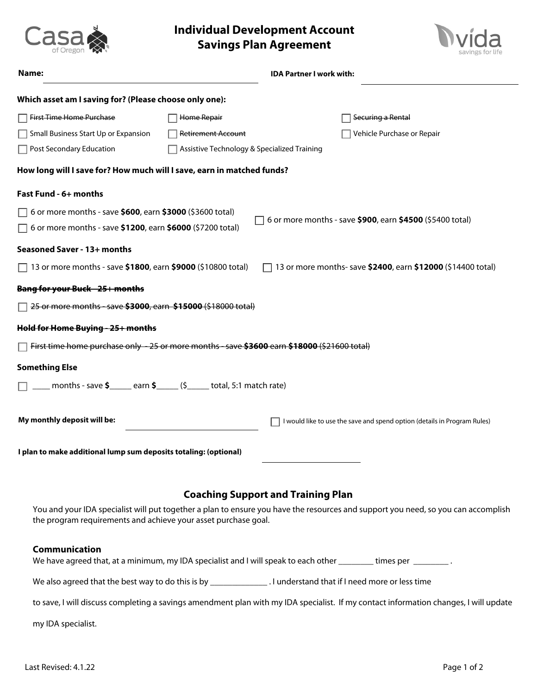



|                                                                                                          |                                             | IDA PARIJER I WORK WILD                                                                                                           |
|----------------------------------------------------------------------------------------------------------|---------------------------------------------|-----------------------------------------------------------------------------------------------------------------------------------|
| Which asset am I saving for? (Please choose only one):                                                   |                                             |                                                                                                                                   |
| First Time Home Purchase                                                                                 | Home Repair                                 | Securing a Rental                                                                                                                 |
| Small Business Start Up or Expansion                                                                     | <b>Retirement Account</b>                   | Vehicle Purchase or Repair                                                                                                        |
| □ Post Secondary Education                                                                               | Assistive Technology & Specialized Training |                                                                                                                                   |
| How long will I save for? How much will I save, earn in matched funds?                                   |                                             |                                                                                                                                   |
| Fast Fund - 6+ months                                                                                    |                                             |                                                                                                                                   |
| $\Box$ 6 or more months - save \$600, earn \$3000 (\$3600 total)                                         |                                             |                                                                                                                                   |
| $\Box$ 6 or more months - save \$1200, earn \$6000 (\$7200 total)                                        |                                             | 6 or more months - save \$900, earn \$4500 (\$5400 total)                                                                         |
| Seasoned Saver - 13+ months                                                                              |                                             |                                                                                                                                   |
| $\Box$ 13 or more months - save \$1800, earn \$9000 (\$10800 total)                                      |                                             | 13 or more months- save \$2400, earn \$12000 (\$14400 total)                                                                      |
| <del>Bang for your Buck - 25+ months</del>                                                               |                                             |                                                                                                                                   |
| □ <del>25 or more months - save \$3000, earn \$15000 (\$18000 total)</del>                               |                                             |                                                                                                                                   |
| Hold for Home Buying - 25+ months                                                                        |                                             |                                                                                                                                   |
| First time home purchase only -25 or more months - save \$3600 earn \$18000 (\$21600 total)              |                                             |                                                                                                                                   |
| <b>Something Else</b>                                                                                    |                                             |                                                                                                                                   |
| $\Box$ ____ months - save $\frac{\sqrt{2}}{2}$ earn $\frac{\sqrt{2}}{2}$ (\$ ____ total, 5:1 match rate) |                                             |                                                                                                                                   |
| My monthly deposit will be:                                                                              |                                             | I would like to use the save and spend option (details in Program Rules)                                                          |
| I plan to make additional lump sum deposits totaling: (optional)                                         |                                             |                                                                                                                                   |
|                                                                                                          |                                             |                                                                                                                                   |
|                                                                                                          |                                             | <b>Coaching Support and Training Plan</b>                                                                                         |
| the program requirements and achieve your asset purchase goal.                                           |                                             | You and your IDA specialist will put together a plan to ensure you have the resources and support you need, so you can accomplish |

## **Communication**

Casa

| We have agreed that, at a minimum, my IDA specialist and I will speak to each other<br>times per                                     |
|--------------------------------------------------------------------------------------------------------------------------------------|
| . I understand that if I need more or less time<br>We also agreed that the best way to do this is by                                 |
| to save, I will discuss completing a savings amendment plan with my IDA specialist. If my contact information changes, I will update |

my IDA specialist.